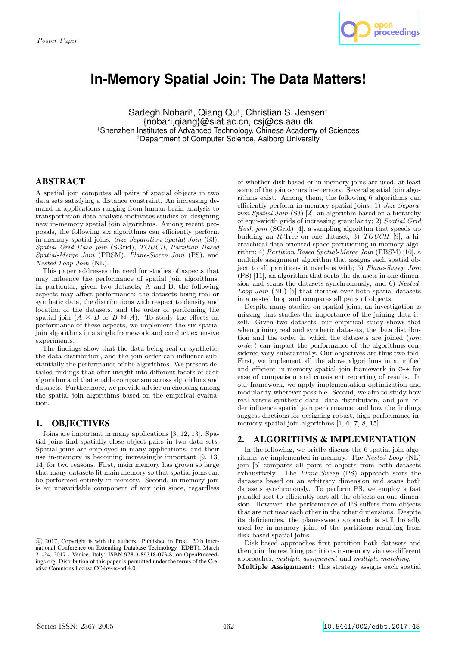

# **In-Memory Spatial Join: The Data Matters!**

Sadegh Nobari<sup>†</sup>, Qiang Qu<sup>†</sup>, Christian S. Jensen<sup>‡</sup> {nobari,qiang}@siat.ac.cn, csj@cs.aau.dk †Shenzhen Institutes of Advanced Technology, Chinese Academy of Sciences ‡Department of Computer Science, Aalborg University

# ABSTRACT

A spatial join computes all pairs of spatial objects in two data sets satisfying a distance constraint. An increasing demand in applications ranging from human brain analysis to transportation data analysis motivates studies on designing new in-memory spatial join algorithms. Among recent proposals, the following six algorithms can efficiently perform in-memory spatial joins: Size Separation Spatial Join (S3), Spatial Grid Hash join (SGrid), TOUCH, Partition Based Spatial-Merge Join (PBSM), Plane-Sweep Join (PS), and Nested-Loop Join (NL).

This paper addresses the need for studies of aspects that may influence the performance of spatial join algorithms. In particular, given two datasets, A and B, the following aspects may affect performance: the datasets being real or synthetic data, the distributions with respect to density and location of the datasets, and the order of performing the spatial join  $(A \Join B$  or  $B \Join A)$ . To study the effects on performance of these aspects, we implement the six spatial join algorithms in a single framework and conduct extensive experiments.

The findings show that the data being real or synthetic, the data distribution, and the join order can influence substantially the performance of the algorithms. We present detailed findings that offer insight into different facets of each algorithm and that enable comparison across algorithms and datasets. Furthermore, we provide advice on choosing among the spatial join algorithms based on the empirical evaluation.

## 1. OBJECTIVES

Joins are important in many applications [3, 12, 13]. Spatial joins find spatially close object pairs in two data sets. Spatial joins are employed in many applications, and their use in-memory is becoming increasingly important [9, 13, 14] for two reasons. First, main memory has grown so large that many datasets fit main memory so that spatial joins can be performed entirely in-memory. Second, in-memory join is an unavoidable component of any join since, regardless of whether disk-based or in-memory joins are used, at least some of the join occurs in-memory. Several spatial join algorithms exist. Among them, the following 6 algorithms can efficiently perform in-memory spatial joins: 1) Size Separation Spatial Join (S3) [2], an algorithm based on a hierarchy of equi-width grids of increasing granularity; 2) Spatial Grid Hash join (SGrid) [4], a sampling algorithm that speeds up building an  $R$ -Tree on one dataset; 3)  $TOUCH$  [9], a hierarchical data-oriented space partitioning in-memory algorithm; 4) Partition Based Spatial-Merge Join (PBSM) [10], a multiple assignment algorithm that assigns each spatial object to all partitions it overlaps with; 5) Plane-Sweep Join (PS) [11], an algorithm that sorts the datasets in one dimension and scans the datasets synchronously; and 6) Nested-Loop Join (NL) [5] that iterates over both spatial datasets in a nested loop and compares all pairs of objects.

Despite many studies on spatial joins, an investigation is missing that studies the importance of the joining data itself. Given two datasets, our empirical study shows that when joining real and synthetic datasets, the data distribution and the order in which the datasets are joined (join order) can impact the performance of the algorithms considered very substantially. Our objectives are thus two-fold. First, we implement all the above algorithms in a unified and efficient in-memory spatial join framework in C++ for ease of comparison and consistent reporting of results. In our framework, we apply implementation optimization and modularity wherever possible. Second, we aim to study how real versus synthetic data, data distribution, and join order influence spatial join performance, and how the findings suggest dirctions for designing robust, high-performance inmemory spatial join algorithms  $[1, 6, 7, 8, 15]$ .

# 2. ALGORITHMS & IMPLEMENTATION

In the following, we briefly discuss the 6 spatial join algorithms we implemented in-memory. The Nested Loop (NL) join [5] compares all pairs of objects from both datasets exhaustively. The Plane-Sweep (PS) approach sorts the datasets based on an arbitrary dimension and scans both datasets synchronously. To perform PS, we employ a fast parallel sort to efficiently sort all the objects on one dimension. However, the performance of PS suffers from objects that are not near each other in the other dimensions. Despite its deficiencies, the plane-sweep approach is still broadly used for in-memory joins of the partitions resulting from disk-based spatial joins.

Disk-based approaches first partition both datasets and then join the resulting partitions in-memory via two different approaches, multiple assignment and multiple matching. Multiple Assignment: this strategy assigns each spatial

c 2017, Copyright is with the authors. Published in Proc. 20th International Conference on Extending Database Technology (EDBT), March 21-24, 2017 - Venice, Italy: ISBN 978-3-89318-073-8, on OpenProceedings.org. Distribution of this paper is permitted under the terms of the Creative Commons license CC-by-nc-nd 4.0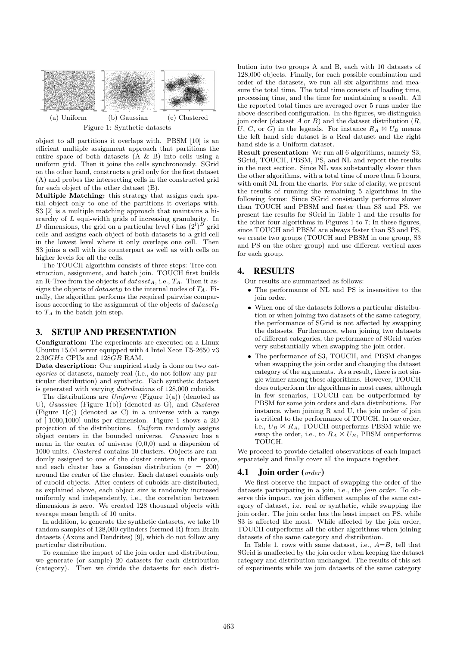

object to all partitions it overlaps with. PBSM [10] is an efficient multiple assignment approach that partitions the entire space of both datasets (A & B) into cells using a uniform grid. Then it joins the cells synchronously. SGrid on the other hand, constructs a grid only for the first dataset (A) and probes the intersecting cells in the constructed grid for each object of the other dataset (B).

Multiple Matching: this strategy that assigns each spatial object only to one of the partitions it overlaps with. S3 [2] is a multiple matching approach that maintains a hierarchy of L equi-width grids of increasing granularity. In D dimensions, the grid on a particular level l has  $(2^l)^D$  grid cells and assigns each object of both datasets to a grid cell in the lowest level where it only overlaps one cell. Then S3 joins a cell with its counterpart as well as with cells on higher levels for all the cells.

The TOUCH algorithm consists of three steps: Tree construction, assignment, and batch join. TOUCH first builds an R-Tree from the objects of  $dataset_A$ , i.e.,  $T_A$ . Then it assigns the objects of dataset<sub>B</sub> to the internal nodes of  $T_A$ . Finally, the algorithm performs the required pairwise comparisons according to the assignment of the objects of  $dataset_B$ to  $T_A$  in the batch join step.

# 3. SETUP AND PRESENTATION

Configuration: The experiments are executed on a Linux Ubuntu 15.04 server equipped with 4 Intel Xeon E5-2650 v3  $2.30GHz$  CPUs and  $128GB$  RAM.

Data description: Our empirical study is done on two *cat*egories of datasets, namely real (i.e., do not follow any particular distribution) and synthetic. Each synthetic dataset is generated with varying distributions of 128,000 cuboids.

The distributions are *Uniform* (Figure 1(a)) (denoted as U), Gaussian (Figure 1(b)) (denoted as G), and Clustered (Figure 1(c)) (denoted as  $\overrightarrow{C}$ ) in a universe with a range of [-1000,1000] units per dimension. Figure 1 shows a 2D projection of the distributions. Uniform randomly assigns object centers in the bounded universe. Gaussian has a mean in the center of universe (0,0,0) and a dispersion of 1000 units. Clustered contains 10 clusters. Objects are randomly assigned to one of the cluster centers in the space, and each cluster has a Gaussian distribution ( $\sigma = 200$ ) around the center of the cluster. Each dataset consists only of cuboid objects. After centers of cuboids are distributed, as explained above, each object size is randomly increased uniformly and independently, i.e., the correlation between dimensions is zero. We created 128 thousand objects with average mean length of 10 units.

In addition, to generate the synthetic datasets, we take 10 random samples of 128,000 cylinders (termed R) from Brain datasets (Axons and Dendrites) [9], which do not follow any particular distribution.

To examine the impact of the join order and distribution, we generate (or sample) 20 datasets for each distribution (category). Then we divide the datasets for each distri-

bution into two groups A and B, each with 10 datasets of 128,000 objects. Finally, for each possible combination and order of the datasets, we run all six algorithms and measure the total time. The total time consists of loading time, processing time, and the time for maintaining a result. All the reported total times are averaged over 5 runs under the above-described configuration. In the figures, we distinguish join order (dataset  $A$  or  $B$ ) and the dataset distribution  $(R,$ U, C, or G) in the legends. For instance  $R_A \bowtie U_B$  means the left hand side dataset is a Real dataset and the right hand side is a Uniform dataset.

Result presentation: We run all 6 algorithms, namely S3, SGrid, TOUCH, PBSM, PS, and NL and report the results in the next section. Since NL was substantially slower than the other algorithms, with a total time of more than 5 hours, with omit NL from the charts. For sake of clarity, we present the results of running the remaining 5 algorithms in the following forms: Since SGrid consistantly performs slower than TOUCH and PBSM and faster than S3 and PS, we present the results for SGrid in Table 1 and the results for the other four algorithms in Figures 1 to 7; In these figures, since TOUCH and PBSM are always faster than S3 and PS, we create two groups (TOUCH and PBSM in one group, S3 and PS on the other group) and use different vertical axes for each group.

### 4. RESULTS

Our results are summarized as follows:

- The performance of NL and PS is insensitive to the join order.
- When one of the datasets follows a particular distribution or when joining two datasets of the same category, the performance of SGrid is not affected by swapping the datasets. Furthermore, when joining two datasets of different categories, the performance of SGrid varies very substantially when swapping the join order.
- The performance of S3, TOUCH, and PBSM changes when swapping the join order and changing the dataset category of the arguments. As a result, there is not single winner among these algorithms. However, TOUCH does outperform the algorithms in most cases, although in few scenarios, TOUCH can be outperformed by PBSM for some join orders and data distributions. For instance, when joining R and U, the join order of join is critical to the performance of TOUCH. In one order, i.e.,  $U_B \bowtie R_A$ , TOUCH outperforms PBSM while we swap the order, i.e., to  $R_A \bowtie U_B$ , PBSM outperforms TOUCH.

We proceed to provide detailed observations of each impact separately and finally cover all the impacts together.

#### **4.1** Join order  $(\text{order})$

We first observe the impact of swapping the order of the datasets participating in a join, i.e., the join order. To observe this impact, we join different samples of the same category of dataset, i.e. real or synthetic, while swapping the join order. The join order has the least impact on PS, while S3 is affected the most. While affected by the join order, TOUCH outperforms all the other algorithms when joining datasets of the same category and distribution.

In Table 1, rows with same dataset, i.e.,  $A=B$ , tell that SGrid is unaffected by the join order when keeping the dataset category and distribution unchanged. The results of this set of experiments while we join datasets of the same category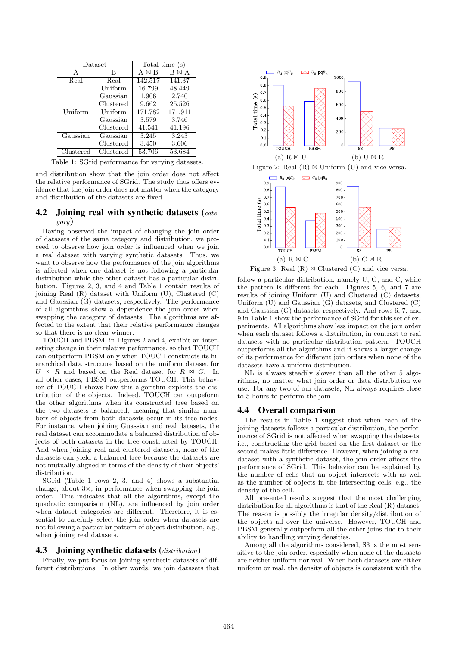| Dataset   |           | Total time (s) |         |
|-----------|-----------|----------------|---------|
| А         | R         | AΜR            | МA      |
| Real      | Real      | 142.517        | 141.37  |
|           | Uniform   | 16.799         | 48.449  |
|           | Gaussian  | 1.906          | 2.740   |
|           | Clustered | 9.662          | 25.526  |
| Uniform   | Uniform   | 171.782        | 171.911 |
|           | Gaussian  | 3.579          | 3.746   |
|           | Clustered | 41.541         | 41.196  |
| Gaussian  | Gaussian  | 3.245          | 3.243   |
|           | Clustered | 3.450          | 3.606   |
| Clustered | Clustered | 53.706         | 53.684  |

Table 1: SGrid performance for varying datasets.

and distribution show that the join order does not affect the relative performance of SGrid. The study thus offers evidence that the join order does not matter when the category and distribution of the datasets are fixed.

#### 4.2 Joining real with synthetic datasets  $(cate$ gory)

Having observed the impact of changing the join order of datasets of the same category and distribution, we proceed to observe how join order is influenced when we join a real dataset with varying synthetic datasets. Thus, we want to observe how the performance of the join algorithms is affected when one dataset is not following a particular distribution while the other dataset has a particular distribution. Figures 2, 3, and 4 and Table 1 contain results of joining Real (R) dataset with Uniform (U), Clustered (C) and Gaussian (G) datasets, respectively. The performance of all algorithms show a dependence the join order when swapping the category of datasets. The algorithms are affected to the extent that their relative performance changes so that there is no clear winner.

TOUCH and PBSM, in Figures 2 and 4, exhibit an interesting change in their relative performance, so that TOUCH can outperform PBSM only when TOUCH constructs its hierarchical data structure based on the uniform dataset for  $U \bowtie R$  and based on the Real dataset for  $R \bowtie G$ . In all other cases, PBSM outperforms TOUCH. This behavior of TOUCH shows how this algorithm exploits the distribution of the objects. Indeed, TOUCH can outpeform the other algorithms when its constructed tree based on the two datasets is balanced, meaning that similar numbers of objects from both datasets occur in its tree nodes. For instance, when joining Guassian and real datasets, the real dataset can accommodate a balanced distribution of objects of both datasets in the tree constructed by TOUCH. And when joining real and clustered datasets, none of the datasets can yield a balanced tree because the datasets are not mutually aligned in terms of the density of their objects' distribution.

SGrid (Table 1 rows 2, 3, and 4) shows a substantial change, about  $3\times$ , in performance when swapping the join order. This indicates that all the algorithms, except the quadratic comparison (NL), are influenced by join order when dataset categories are different. Therefore, it is essential to carefully select the join order when datasets are not following a particular pattern of object distribution, e.g., when joining real datasets.

#### **4.3** Joining synthetic datasets  $(distribution)$

Finally, we put focus on joining synthetic datasets of different distributions. In other words, we join datasets that





Figure 3: Real  $(R) \bowtie$  Clustered  $(C)$  and vice versa.

follow a particular distribution, namely U, G, and C, while the pattern is different for each. Figures 5, 6, and 7 are results of joining Uniform (U) and Clustered (C) datasets, Uniform (U) and Gaussian (G) datasets, and Clustered (C) and Gaussian (G) datasets, respectively. And rows 6, 7, and 9 in Table 1 show the performance of SGrid for this set of experiments. All algorithms show less impact on the join order when each dataset follows a distribution, in contrast to real datasets with no particular distribution pattern. TOUCH outperforms all the algorithms and it shows a larger change of its performance for different join orders when none of the datasets have a uniform distribution.

NL is always steadily slower than all the other 5 algorithms, no matter what join order or data distribution we use. For any two of our datasets, NL always requires close to 5 hours to perform the join.

#### 4.4 Overall comparison

The results in Table 1 suggest that when each of the joining datasets follows a particular distribution, the performance of SGrid is not affected when swapping the datasets, i.e., constructing the grid based on the first dataset or the second makes little difference. However, when joining a real dataset with a synthetic dataset, the join order affects the performance of SGrid. This behavior can be explained by the number of cells that an object intersects with as well as the number of objects in the intersecting cells, e.g., the density of the cell.

All presented results suggest that the most challenging distribution for all algorithms is that of the Real (R) dataset. The reason is possibly the irregular density/distribution of the objects all over the universe. However, TOUCH and PBSM generally outperform all the other joins due to their ability to handling varying densities.

Among all the algorithms considered, S3 is the most sensitive to the join order, especially when none of the datasets are neither uniform nor real. When both datasets are either uniform or real, the density of objects is consistent with the